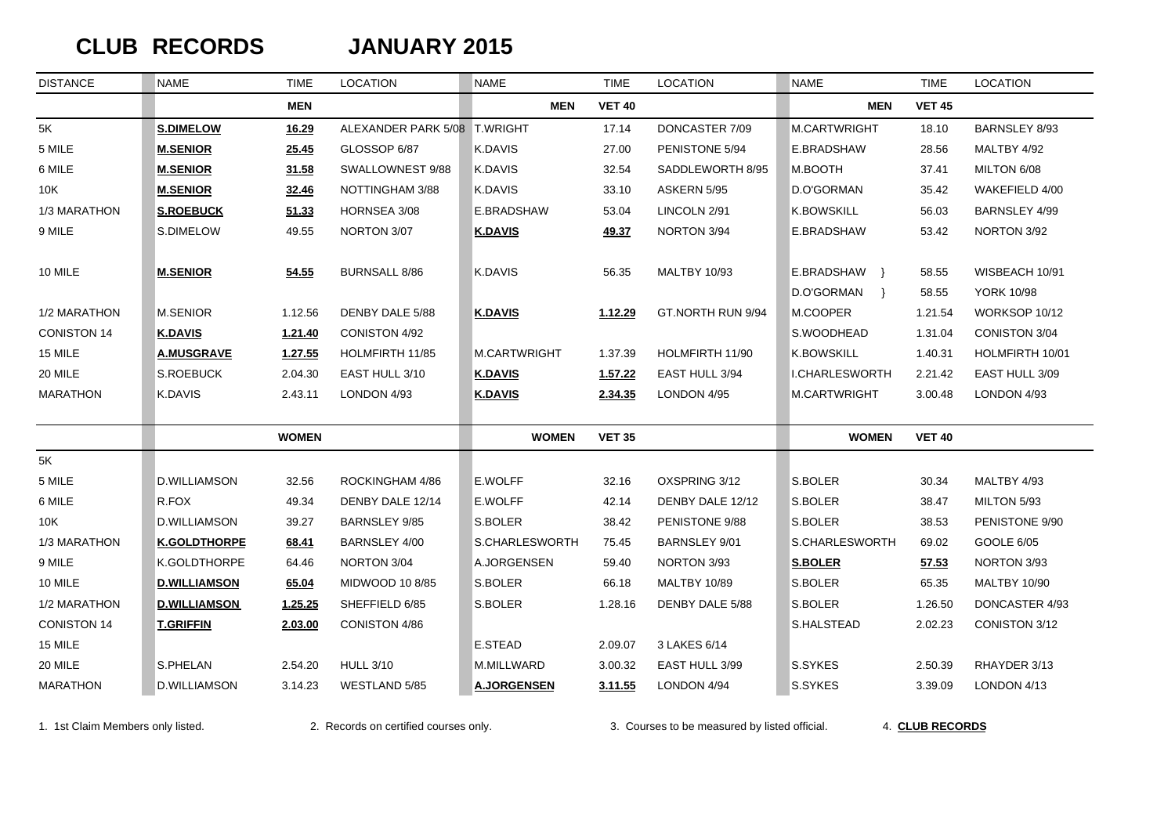# $CLUB$  **RECORDS**

#### **JANUARY 2015**

| <b>DISTANCE</b>    | <b>NAME</b>         | <b>TIME</b>  | <b>LOCATION</b>              | <b>NAME</b>        | <b>TIME</b>   | <b>LOCATION</b>     | <b>NAME</b>                                 | <b>TIME</b>    | <b>LOCATION</b>                     |
|--------------------|---------------------|--------------|------------------------------|--------------------|---------------|---------------------|---------------------------------------------|----------------|-------------------------------------|
|                    |                     | <b>MEN</b>   |                              | <b>MEN</b>         | <b>VET 40</b> |                     | <b>MEN</b>                                  | <b>VET 45</b>  |                                     |
| 5K                 | <b>S.DIMELOW</b>    | 16.29        | ALEXANDER PARK 5/08 T.WRIGHT |                    | 17.14         | DONCASTER 7/09      | <b>M.CARTWRIGHT</b>                         | 18.10          | <b>BARNSLEY 8/93</b>                |
| 5 MILE             | <b>M.SENIOR</b>     | 25.45        | GLOSSOP 6/87                 | <b>K.DAVIS</b>     | 27.00         | PENISTONE 5/94      | E.BRADSHAW                                  | 28.56          | MALTBY 4/92                         |
| 6 MILE             | <b>M.SENIOR</b>     | 31.58        | SWALLOWNEST 9/88             | K.DAVIS            | 32.54         | SADDLEWORTH 8/95    | M.BOOTH                                     | 37.41          | MILTON 6/08                         |
| 10K                | <b>M.SENIOR</b>     | 32.46        | NOTTINGHAM 3/88              | <b>K.DAVIS</b>     | 33.10         | ASKERN 5/95         | D.O'GORMAN                                  | 35.42          | WAKEFIELD 4/00                      |
| 1/3 MARATHON       | <b>S.ROEBUCK</b>    | 51.33        | HORNSEA 3/08                 | E.BRADSHAW         | 53.04         | LINCOLN 2/91        | <b>K.BOWSKILL</b>                           | 56.03          | BARNSLEY 4/99                       |
| 9 MILE             | S.DIMELOW           | 49.55        | NORTON 3/07                  | <b>K.DAVIS</b>     | 49.37         | NORTON 3/94         | E.BRADSHAW                                  | 53.42          | NORTON 3/92                         |
| 10 MILE            | <b>M.SENIOR</b>     | 54.55        | <b>BURNSALL 8/86</b>         | K.DAVIS            | 56.35         | <b>MALTBY 10/93</b> | E.BRADSHAW }<br>D.O'GORMAN<br>$\rightarrow$ | 58.55<br>58.55 | WISBEACH 10/91<br><b>YORK 10/98</b> |
| 1/2 MARATHON       | M.SENIOR            | 1.12.56      | DENBY DALE 5/88              | <b>K.DAVIS</b>     | 1.12.29       | GT.NORTH RUN 9/94   | M.COOPER                                    | 1.21.54        | WORKSOP 10/12                       |
| <b>CONISTON 14</b> | <b>K.DAVIS</b>      | 1.21.40      | CONISTON 4/92                |                    |               |                     | S.WOODHEAD                                  | 1.31.04        | CONISTON 3/04                       |
| 15 MILE            | <b>A.MUSGRAVE</b>   | 1.27.55      | HOLMFIRTH 11/85              | M.CARTWRIGHT       | 1.37.39       | HOLMFIRTH 11/90     | <b>K.BOWSKILL</b>                           | 1.40.31        | HOLMFIRTH 10/01                     |
| 20 MILE            | S.ROEBUCK           | 2.04.30      | EAST HULL 3/10               | <b>K.DAVIS</b>     | 1.57.22       | EAST HULL 3/94      | <b>I.CHARLESWORTH</b>                       | 2.21.42        | EAST HULL 3/09                      |
| <b>MARATHON</b>    | K.DAVIS             | 2.43.11      | LONDON 4/93                  | <b>K.DAVIS</b>     | 2.34.35       | LONDON 4/95         | M.CARTWRIGHT                                | 3.00.48        | LONDON 4/93                         |
|                    |                     | <b>WOMEN</b> |                              | <b>WOMEN</b>       | <b>VET 35</b> |                     | <b>WOMEN</b>                                | <b>VET 40</b>  |                                     |
| 5K                 |                     |              |                              |                    |               |                     |                                             |                |                                     |
| 5 MILE             | D.WILLIAMSON        | 32.56        | ROCKINGHAM 4/86              | E.WOLFF            | 32.16         | OXSPRING 3/12       | S.BOLER                                     | 30.34          | MALTBY 4/93                         |
| 6 MILE             | R.FOX               | 49.34        | DENBY DALE 12/14             | E.WOLFF            | 42.14         | DENBY DALE 12/12    | S.BOLER                                     | 38.47          | MILTON 5/93                         |
| 10K                | D.WILLIAMSON        | 39.27        | BARNSLEY 9/85                | S.BOLER            | 38.42         | PENISTONE 9/88      | S.BOLER                                     | 38.53          | PENISTONE 9/90                      |
| 1/3 MARATHON       | <b>K.GOLDTHORPE</b> | 68.41        | BARNSLEY 4/00                | S.CHARLESWORTH     | 75.45         | BARNSLEY 9/01       | S.CHARLESWORTH                              | 69.02          | GOOLE 6/05                          |
| 9 MILE             | K.GOLDTHORPE        | 64.46        | NORTON 3/04                  | A.JORGENSEN        | 59.40         | NORTON 3/93         | <b>S.BOLER</b>                              | 57.53          | NORTON 3/93                         |
| 10 MILE            | <b>D.WILLIAMSON</b> | 65.04        | MIDWOOD 10 8/85              | S.BOLER            | 66.18         | <b>MALTBY 10/89</b> | S.BOLER                                     | 65.35          | <b>MALTBY 10/90</b>                 |
| 1/2 MARATHON       | <b>D.WILLIAMSON</b> | 1.25.25      | SHEFFIELD 6/85               | S.BOLER            | 1.28.16       | DENBY DALE 5/88     | S.BOLER                                     | 1.26.50        | DONCASTER 4/93                      |
| <b>CONISTON 14</b> | <b>T.GRIFFIN</b>    | 2.03.00      | CONISTON 4/86                |                    |               |                     | S.HALSTEAD                                  | 2.02.23        | CONISTON 3/12                       |
| 15 MILE            |                     |              |                              | E.STEAD            | 2.09.07       | 3 LAKES 6/14        |                                             |                |                                     |
| 20 MILE            | S.PHELAN            | 2.54.20      | <b>HULL 3/10</b>             | M.MILLWARD         | 3.00.32       | EAST HULL 3/99      | S.SYKES                                     | 2.50.39        | RHAYDER 3/13                        |
| <b>MARATHON</b>    | D.WILLIAMSON        | 3.14.23      | WESTLAND 5/85                | <b>A.JORGENSEN</b> | 3.11.55       | LONDON 4/94         | S.SYKES                                     | 3.39.09        | LONDON 4/13                         |

1. 1st Claim Members only listed. 2. Records on certified courses only. 3. Courses to be measured by listed official. 4. **CLUB RECORDS**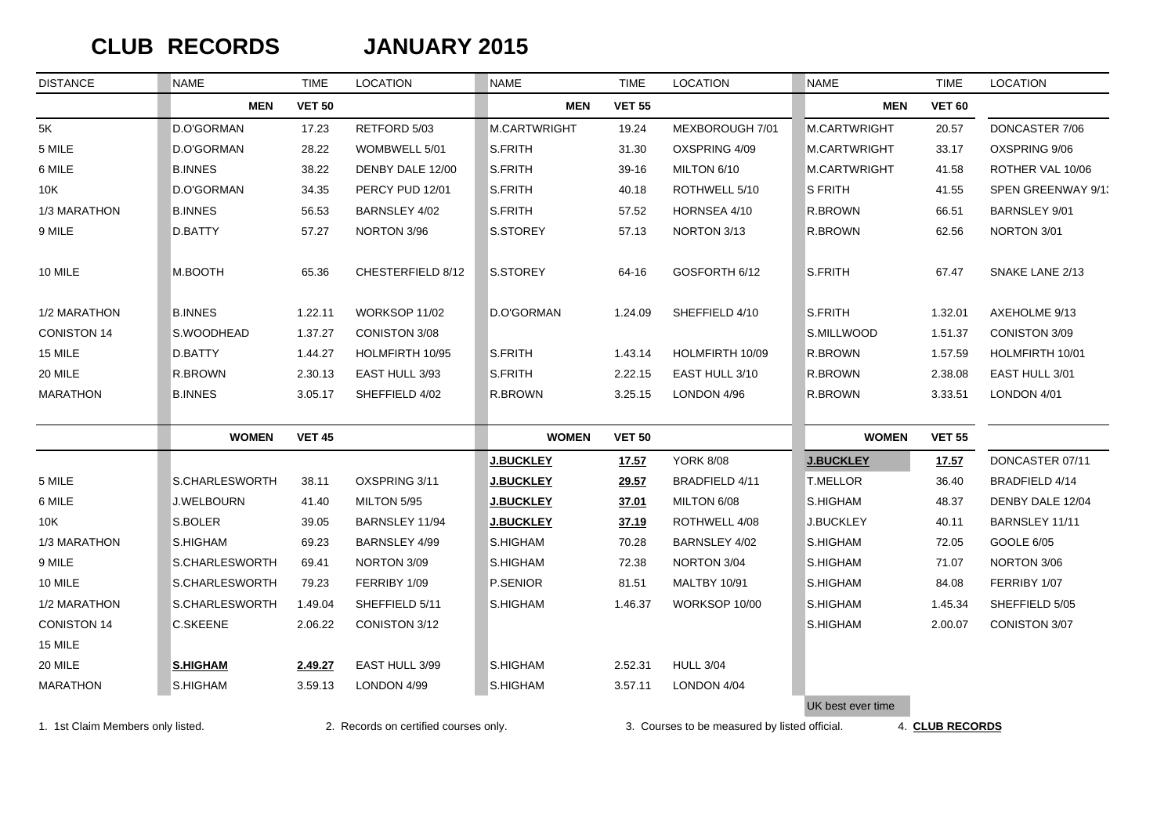# $CLUB$  **RECORDS**

#### **JANUARY 2015**

| <b>DISTANCE</b>    | <b>NAME</b>       | <b>TIME</b>   | <b>LOCATION</b>      | <b>NAME</b>      | <b>TIME</b>   | <b>LOCATION</b>     | <b>NAME</b>         | <b>TIME</b>   | <b>LOCATION</b>      |
|--------------------|-------------------|---------------|----------------------|------------------|---------------|---------------------|---------------------|---------------|----------------------|
|                    | <b>MEN</b>        | <b>VET 50</b> |                      | <b>MEN</b>       | <b>VET 55</b> |                     | <b>MEN</b>          | <b>VET 60</b> |                      |
| 5K                 | D.O'GORMAN        | 17.23         | RETFORD 5/03         | M.CARTWRIGHT     | 19.24         | MEXBOROUGH 7/01     | <b>M.CARTWRIGHT</b> | 20.57         | DONCASTER 7/06       |
| 5 MILE             | D.O'GORMAN        | 28.22         | WOMBWELL 5/01        | S.FRITH          | 31.30         | OXSPRING 4/09       | <b>M.CARTWRIGHT</b> | 33.17         | OXSPRING 9/06        |
| 6 MILE             | <b>B.INNES</b>    | 38.22         | DENBY DALE 12/00     | S.FRITH          | 39-16         | MILTON 6/10         | M.CARTWRIGHT        | 41.58         | ROTHER VAL 10/06     |
| 10K                | D.O'GORMAN        | 34.35         | PERCY PUD 12/01      | S.FRITH          | 40.18         | ROTHWELL 5/10       | S FRITH             | 41.55         | SPEN GREENWAY 9/1.   |
| 1/3 MARATHON       | <b>B.INNES</b>    | 56.53         | BARNSLEY 4/02        | S.FRITH          | 57.52         | HORNSEA 4/10        | R.BROWN             | 66.51         | <b>BARNSLEY 9/01</b> |
| 9 MILE             | D.BATTY           | 57.27         | NORTON 3/96          | S.STOREY         | 57.13         | NORTON 3/13         | R.BROWN             | 62.56         | NORTON 3/01          |
| 10 MILE            | M.BOOTH           | 65.36         | CHESTERFIELD 8/12    | S.STOREY         | 64-16         | GOSFORTH 6/12       | S.FRITH             | 67.47         | SNAKE LANE 2/13      |
| 1/2 MARATHON       | <b>B.INNES</b>    | 1.22.11       | WORKSOP 11/02        | D.O'GORMAN       | 1.24.09       | SHEFFIELD 4/10      | S.FRITH             | 1.32.01       | AXEHOLME 9/13        |
| <b>CONISTON 14</b> | S.WOODHEAD        | 1.37.27       | CONISTON 3/08        |                  |               |                     | S.MILLWOOD          | 1.51.37       | CONISTON 3/09        |
| 15 MILE            | D.BATTY           | 1.44.27       | HOLMFIRTH 10/95      | S.FRITH          | 1.43.14       | HOLMFIRTH 10/09     | R.BROWN             | 1.57.59       | HOLMFIRTH 10/01      |
| 20 MILE            | R.BROWN           | 2.30.13       | EAST HULL 3/93       | S.FRITH          | 2.22.15       | EAST HULL 3/10      | R.BROWN             | 2.38.08       | EAST HULL 3/01       |
| MARATHON           | <b>B.INNES</b>    | 3.05.17       | SHEFFIELD 4/02       | R.BROWN          | 3.25.15       | LONDON 4/96         | R.BROWN             | 3.33.51       | LONDON 4/01          |
|                    | <b>WOMEN</b>      | <b>VET 45</b> |                      | <b>WOMEN</b>     | <b>VET 50</b> |                     | <b>WOMEN</b>        | <b>VET 55</b> |                      |
|                    |                   |               |                      | <b>J.BUCKLEY</b> | 17.57         | <b>YORK 8/08</b>    | <b>J.BUCKLEY</b>    | <u>17.57</u>  | DONCASTER 07/11      |
| 5 MILE             | S.CHARLESWORTH    | 38.11         | OXSPRING 3/11        | <b>J.BUCKLEY</b> | 29.57         | BRADFIELD 4/11      | <b>T.MELLOR</b>     | 36.40         | BRADFIELD 4/14       |
| 6 MILE             | <b>J.WELBOURN</b> | 41.40         | MILTON 5/95          | <b>J.BUCKLEY</b> | 37.01         | MILTON 6/08         | S.HIGHAM            | 48.37         | DENBY DALE 12/04     |
| 10K                | S.BOLER           | 39.05         | BARNSLEY 11/94       | <b>J.BUCKLEY</b> | 37.19         | ROTHWELL 4/08       | J.BUCKLEY           | 40.11         | BARNSLEY 11/11       |
| 1/3 MARATHON       | S.HIGHAM          | 69.23         | <b>BARNSLEY 4/99</b> | S.HIGHAM         | 70.28         | BARNSLEY 4/02       | S.HIGHAM            | 72.05         | GOOLE 6/05           |
| 9 MILE             | S.CHARLESWORTH    | 69.41         | NORTON 3/09          | S.HIGHAM         | 72.38         | NORTON 3/04         | S.HIGHAM            | 71.07         | NORTON 3/06          |
| 10 MILE            | S.CHARLESWORTH    | 79.23         | FERRIBY 1/09         | P.SENIOR         | 81.51         | <b>MALTBY 10/91</b> | S.HIGHAM            | 84.08         | FERRIBY 1/07         |
| 1/2 MARATHON       | S.CHARLESWORTH    | 1.49.04       | SHEFFIELD 5/11       | S.HIGHAM         | 1.46.37       | WORKSOP 10/00       | S.HIGHAM            | 1.45.34       | SHEFFIELD 5/05       |
| <b>CONISTON 14</b> | C.SKEENE          | 2.06.22       | CONISTON 3/12        |                  |               |                     | S.HIGHAM            | 2.00.07       | CONISTON 3/07        |
| 15 MILE            |                   |               |                      |                  |               |                     |                     |               |                      |
| 20 MILE            | <b>S.HIGHAM</b>   | 2.49.27       | EAST HULL 3/99       | S.HIGHAM         | 2.52.31       | <b>HULL 3/04</b>    |                     |               |                      |
| <b>MARATHON</b>    | S.HIGHAM          | 3.59.13       | LONDON 4/99          | S.HIGHAM         | 3.57.11       | LONDON 4/04         |                     |               |                      |
|                    |                   |               |                      |                  |               |                     | UK best ever time   |               |                      |

1. 1st Claim Members only listed. 2. Records on certified courses only. 3. Courses to be measured by listed official. 4. **CLUB RECORDS**